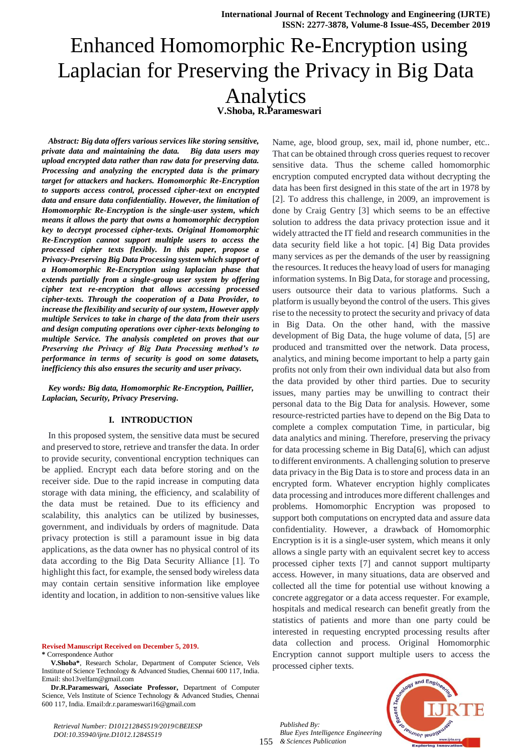# Enhanced Homomorphic Re-Encryption using Laplacian for Preserving the Privacy in Big Data Analytics **V.Shoba, R.Parameswari**

*Abstract: Big data offers various services like storing sensitive, private data and maintaining the data. Big data users may upload encrypted data rather than raw data for preserving data. Processing and analyzing the encrypted data is the primary target for attackers and hackers. Homomorphic Re-Encryption to supports access control, processed cipher-text on encrypted data and ensure data confidentiality. However, the limitation of Homomorphic Re-Encryption is the single-user system, which means it allows the party that owns a homomorphic decryption key to decrypt processed cipher-texts. Original Homomorphic Re-Encryption cannot support multiple users to access the processed cipher texts flexibly. In this paper, propose a Privacy-Preserving Big Data Processing system which support of a Homomorphic Re-Encryption using laplacian phase that extends partially from a single-group user system by offering cipher text re-encryption that allows accessing processed cipher-texts. Through the cooperation of a Data Provider, to increase the flexibility and security of our system, However apply multiple Services to take in charge of the data from their users and design computing operations over cipher-texts belonging to multiple Service. The analysis completed on proves that our Preserving the Privacy of Big Data Processing method's to performance in terms of security is good on some datasets, inefficiency this also ensures the security and user privacy.*

*Key words: Big data, Homomorphic Re-Encryption, Paillier, Laplacian, Security, Privacy Preserving.*

## **I. INTRODUCTION**

In this proposed system, the sensitive data must be secured and preserved to store, retrieve and transfer the data. In order to provide security, conventional encryption techniques can be applied. Encrypt each data before storing and on the receiver side. Due to the rapid increase in computing data storage with data mining, the efficiency, and scalability of the data must be retained. Due to its efficiency and scalability, this analytics can be utilized by businesses, government, and individuals by orders of magnitude. Data privacy protection is still a paramount issue in big data applications, as the data owner has no physical control of its data according to the Big Data Security Alliance [1]. To highlight this fact, for example, the sensed body wireless data may contain certain sensitive information like employee identity and location, in addition to non-sensitive values like

**Revised Manuscript Received on December 5, 2019. \*** Correspondence Author

**Dr.R.Parameswari, Associate Professor,** Department of Computer Science, Vels Institute of Science Technology & Advanced Studies, Chennai 600 117, India. Email:dr.r.parameswari16@gmail.com

*Retrieval Number: D10121284S519/2019©BEIESP DOI:10.35940/ijrte.D1012.1284S519*

Name, age, blood group, sex, mail id, phone number, etc.. That can be obtained through cross queries request to recover sensitive data. Thus the scheme called homomorphic encryption computed encrypted data without decrypting the data has been first designed in this state of the art in 1978 by [2]. To address this challenge, in 2009, an improvement is done by Craig Gentry [3] which seems to be an effective solution to address the data privacy protection issue and it widely attracted the IT field and research communities in the data security field like a hot topic. [4] Big Data provides many services as per the demands of the user by reassigning the resources. It reduces the heavy load of users for managing information systems. In Big Data, for storage and processing, users outsource their data to various platforms. Such a platform is usually beyond the control of the users. This gives rise to the necessity to protect the security and privacy of data in Big Data. On the other hand, with the massive development of Big Data, the huge volume of data, [5] are produced and transmitted over the network. Data process, analytics, and mining become important to help a party gain profits not only from their own individual data but also from the data provided by other third parties. Due to security issues, many parties may be unwilling to contract their personal data to the Big Data for analysis. However, some resource-restricted parties have to depend on the Big Data to complete a complex computation Time, in particular, big data analytics and mining. Therefore, preserving the privacy for data processing scheme in Big Data[6], which can adjust to different environments. A challenging solution to preserve data privacy in the Big Data is to store and process data in an encrypted form. Whatever encryption highly complicates data processing and introduces more different challenges and problems. Homomorphic Encryption was proposed to support both computations on encrypted data and assure data confidentiality. However, a drawback of Homomorphic Encryption is it is a single-user system, which means it only allows a single party with an equivalent secret key to access processed cipher texts [7] and cannot support multiparty access. However, in many situations, data are observed and collected all the time for potential use without knowing a concrete aggregator or a data access requester. For example, hospitals and medical research can benefit greatly from the statistics of patients and more than one party could be interested in requesting encrypted processing results after data collection and process. Original Homomorphic Encryption cannot support multiple users to access the processed cipher texts.

155 *& Sciences Publication Published By: Blue Eyes Intelligence Engineering* 



**V.Shoba\***, Research Scholar, Department of Computer Science, Vels Institute of Science Technology & Advanced Studies, Chennai 600 117, India. Email: sho13velfam@gmail.com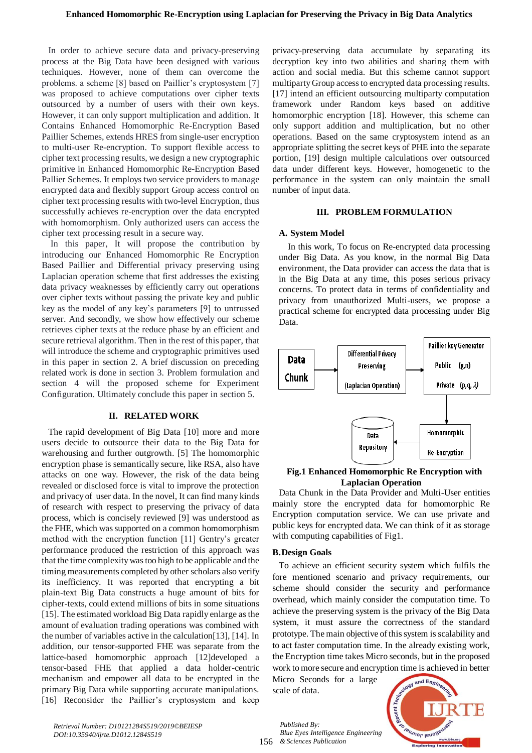In order to achieve secure data and privacy-preserving process at the Big Data have been designed with various techniques. However, none of them can overcome the problems. a scheme [8] based on Paillier's cryptosystem [7] was proposed to achieve computations over cipher texts outsourced by a number of users with their own keys. However, it can only support multiplication and addition. It Contains Enhanced Homomorphic Re-Encryption Based Paillier Schemes, extends HRES from single-user encryption to multi-user Re-encryption. To support flexible access to cipher text processing results, we design a new cryptographic primitive in Enhanced Homomorphic Re-Encryption Based Pallier Schemes. It employs two service providers to manage encrypted data and flexibly support Group access control on cipher text processing results with two-level Encryption, thus successfully achieves re-encryption over the data encrypted with homomorphism. Only authorized users can access the cipher text processing result in a secure way.

In this paper, It will propose the contribution by introducing our Enhanced Homomorphic Re Encryption Based Paillier and Differential privacy preserving using Laplacian operation scheme that first addresses the existing data privacy weaknesses by efficiently carry out operations over cipher texts without passing the private key and public key as the model of any key's parameters [9] to untrussed server. And secondly, we show how effectively our scheme retrieves cipher texts at the reduce phase by an efficient and secure retrieval algorithm. Then in the rest of this paper, that will introduce the scheme and cryptographic primitives used in this paper in section 2. A brief discussion on preceding related work is done in section 3. Problem formulation and section 4 will the proposed scheme for Experiment Configuration. Ultimately conclude this paper in section 5.

## **II. RELATED WORK**

The rapid development of Big Data [10] more and more users decide to outsource their data to the Big Data for warehousing and further outgrowth. [5] The homomorphic encryption phase is semantically secure, like RSA, also have attacks on one way. However, the risk of the data being revealed or disclosed force is vital to improve the protection and privacy of user data. In the novel, It can find many kinds of research with respect to preserving the privacy of data process, which is concisely reviewed [9] was understood as the FHE, which was supported on a common homomorphism method with the encryption function [11] Gentry's greater performance produced the restriction of this approach was that the time complexity was too high to be applicable and the timing measurements completed by other scholars also verify its inefficiency. It was reported that encrypting a bit plain-text Big Data constructs a huge amount of bits for cipher-texts, could extend millions of bits in some situations [15]. The estimated workload Big Data rapidly enlarge as the amount of evaluation trading operations was combined with the number of variables active in the calculation[13], [14]. In addition, our tensor-supported FHE was separate from the lattice-based homomorphic approach [12]developed a tensor-based FHE that applied a data holder-centric mechanism and empower all data to be encrypted in the primary Big Data while supporting accurate manipulations. [16] Reconsider the Paillier's cryptosystem and keep privacy-preserving data accumulate by separating its decryption key into two abilities and sharing them with action and social media. But this scheme cannot support multiparty Group access to encrypted data processing results. [17] intend an efficient outsourcing multiparty computation framework under Random keys based on additive homomorphic encryption [18]. However, this scheme can only support addition and multiplication, but no other operations. Based on the same cryptosystem intend as an appropriate splitting the secret keys of PHE into the separate portion, [19] design multiple calculations over outsourced data under different keys. However, homogenetic to the performance in the system can only maintain the small number of input data.

## **III. PROBLEM FORMULATION**

## **A. System Model**

In this work, To focus on Re-encrypted data processing under Big Data. As you know, in the normal Big Data environment, the Data provider can access the data that is in the Big Data at any time, this poses serious privacy concerns. To protect data in terms of confidentiality and privacy from unauthorized Multi-users, we propose a practical scheme for encrypted data processing under Big Data.



## **Fig.1 Enhanced Homomorphic Re Encryption with Laplacian Operation**

Data Chunk in the Data Provider and Multi-User entities mainly store the encrypted data for homomorphic Re Encryption computation service. We can use private and public keys for encrypted data. We can think of it as storage with computing capabilities of Fig1.

## **B.Design Goals**

To achieve an efficient security system which fulfils the fore mentioned scenario and privacy requirements, our scheme should consider the security and performance overhead, which mainly consider the computation time. To achieve the preserving system is the privacy of the Big Data system, it must assure the correctness of the standard prototype. The main objective of this system is scalability and to act faster computation time. In the already existing work, the Encryption time takes Micro seconds, but in the proposed work to more secure and encryption time is achieved in better

Micro Seconds for a large scale of data.



*Retrieval Number: D10121284S519/2019©BEIESP DOI:10.35940/ijrte.D1012.1284S519*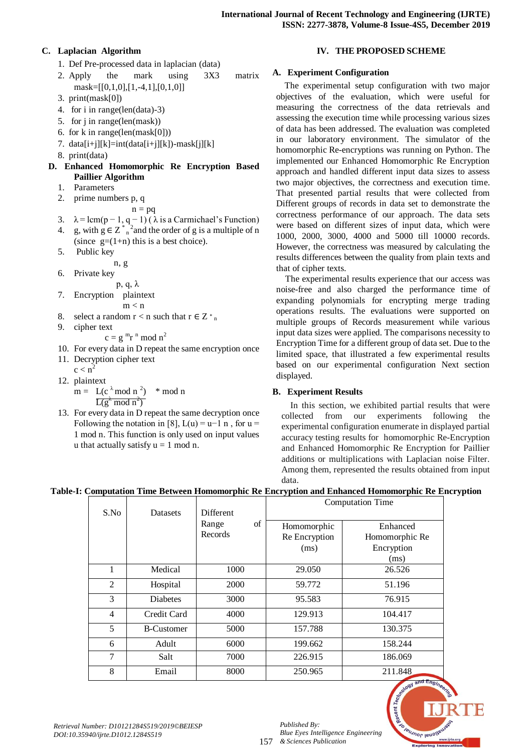# **C. Laplacian Algorithm**

- 1. Def Pre-processed data in laplacian (data)
- 2. Apply the mark using 3X3 matrix mask= $[[0,1,0],[1,-4,1],[0,1,0]]$
- 3. print(mask[0])
- 4. for i in range(len(data)-3)
- 5. for j in range(len(mask))
- 6. for k in range(len(mask[0]))
- 7. data $[i+j][k]=int(data[i+j][k])$ -mask $[j][k]$
- 8. print(data)
- **D. Enhanced Homomorphic Re Encryption Based Paillier Algorithm**
	- 1. Parameters
	- 2. prime numbers p, q
	- $n = pq$ 3.  $\lambda = \text{lcm}(p-1, q-1)$  ( $\lambda$  is a Carmichael's Function)
	- 4. g, with  $g \in Z_{n}^{*}$  and the order of g is a multiple of n (since  $g=(1+n)$  this is a best choice).
	- 5. Public key
	- n, g
	- 6. Private key
		- p, q, λ
	- 7. Encryption plaintext  $m < n$
	- 8. select a random  $r < n$  such that  $r \in Z_{n}$ <sup>\*</sup>
	- 9. cipher text

 $c = g<sup>m</sup>r<sup>n</sup> \mod n<sup>2</sup>$ 

- 10. For every data in D repeat the same encryption once 11. Decryption cipher text
- $c < n^2$
- 12. plaintext

 $m = L(c^{\lambda} \mod n^2)$ ) \* mod n  $L(g^{\lambda} \mod n^2)$ 

13. For every data in D repeat the same decryption once Following the notation in [8],  $L(u) = u-1$  n, for  $u =$ 1 mod n. This function is only used on input values u that actually satisfy  $u = 1$  mod n.

# **IV. THE PROPOSED SCHEME**

# **A. Experiment Configuration**

The experimental setup configuration with two major objectives of the evaluation, which were useful for measuring the correctness of the data retrievals and assessing the execution time while processing various sizes of data has been addressed. The evaluation was completed in our laboratory environment. The simulator of the homomorphic Re-encryptions was running on Python. The implemented our Enhanced Homomorphic Re Encryption approach and handled different input data sizes to assess two major objectives, the correctness and execution time. That presented partial results that were collected from Different groups of records in data set to demonstrate the correctness performance of our approach. The data sets were based on different sizes of input data, which were 1000, 2000, 3000, 4000 and 5000 till 10000 records. However, the correctness was measured by calculating the results differences between the quality from plain texts and that of cipher texts.

The experimental results experience that our access was noise-free and also charged the performance time of expanding polynomials for encrypting merge trading operations results. The evaluations were supported on multiple groups of Records measurement while various input data sizes were applied. The comparisons necessity to Encryption Time for a different group of data set. Due to the limited space, that illustrated a few experimental results based on our experimental configuration Next section displayed.

# **B. Experiment Results**

In this section, we exhibited partial results that were collected from our experiments following the experimental configuration enumerate in displayed partial accuracy testing results for homomorphic Re-Encryption and Enhanced Homomorphic Re Encryption for Paillier additions or multiplications with Laplacian noise Filter. Among them, represented the results obtained from input data.

# **Table-I: Computation Time Between Homomorphic Re Encryption and Enhanced Homomorphic Re Encryption**

|                | <b>Datasets</b>   |             | <b>Computation Time</b> |                              |
|----------------|-------------------|-------------|-------------------------|------------------------------|
| S.No           |                   | Different   |                         |                              |
|                |                   | of<br>Range | Homomorphic             | Enhanced                     |
|                |                   | Records     | Re Encryption           | Homomorphic Re               |
|                |                   |             | (ms)                    | Encryption                   |
|                |                   |             |                         | (ms)                         |
| 1              | Medical           | 1000        | 29.050                  | 26.526                       |
| $\overline{2}$ | Hospital          | 2000        | 59.772                  | 51.196                       |
| 3              | <b>Diabetes</b>   | 3000        | 95.583                  | 76.915                       |
| 4              | Credit Card       | 4000        | 129.913                 | 104.417                      |
| 5              | <b>B-Customer</b> | 5000        | 157.788                 | 130.375                      |
| 6              | Adult             | 6000        | 199.662                 | 158.244                      |
| 7              | Salt              | 7000        | 226.915                 | 186.069                      |
| 8              | Email             | 8000        | 250.965                 | 211.848<br>and $En_{\alpha}$ |